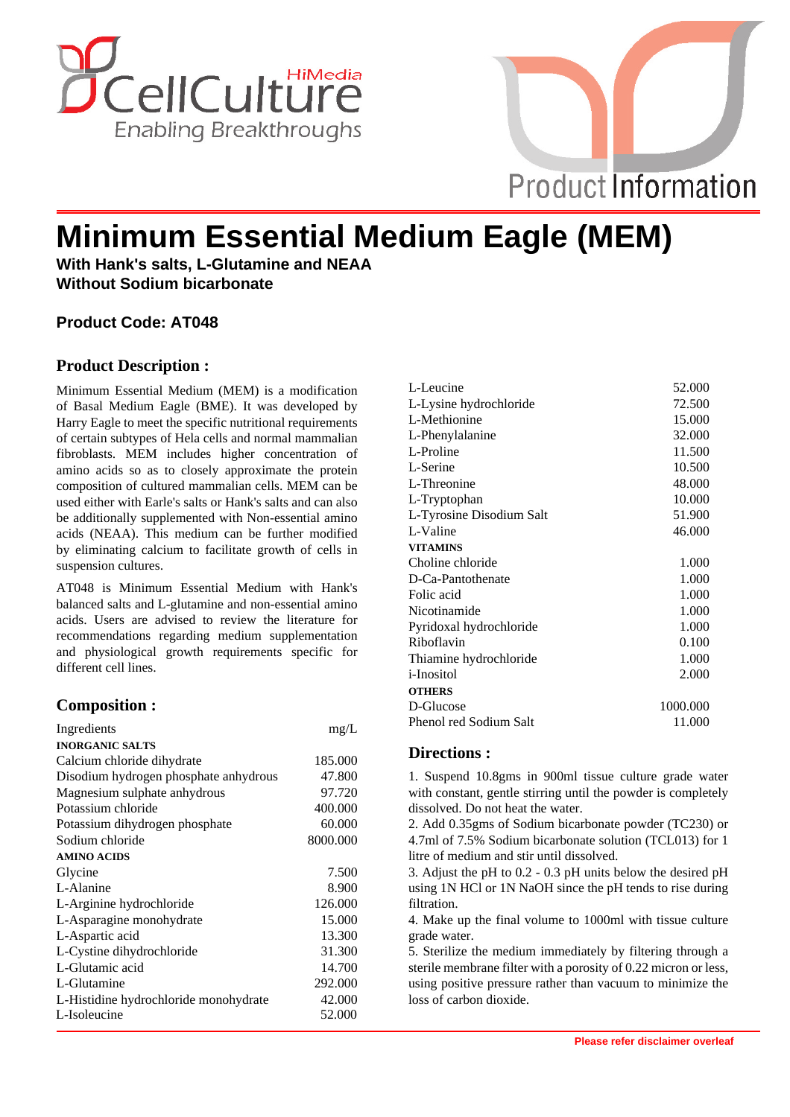



# **Minimum Essential Medium Eagle (MEM)**

**With Hank's salts, L-Glutamine and NEAA Without Sodium bicarbonate**

# **Product Code: AT048**

## **Product Description :**

Minimum Essential Medium (MEM) is a modification of Basal Medium Eagle (BME). It was developed by Harry Eagle to meet the specific nutritional requirements of certain subtypes of Hela cells and normal mammalian fibroblasts. MEM includes higher concentration of amino acids so as to closely approximate the protein composition of cultured mammalian cells. MEM can be used either with Earle's salts or Hank's salts and can also be additionally supplemented with Non-essential amino acids (NEAA). This medium can be further modified by eliminating calcium to facilitate growth of cells in suspension cultures.

AT048 is Minimum Essential Medium with Hank's balanced salts and L-glutamine and non-essential amino acids. Users are advised to review the literature for recommendations regarding medium supplementation and physiological growth requirements specific for different cell lines.

## **Composition :**

| Ingredients                           | mg/L     |
|---------------------------------------|----------|
| <b>INORGANIC SALTS</b>                |          |
| Calcium chloride dihydrate            | 185.000  |
| Disodium hydrogen phosphate anhydrous | 47.800   |
| Magnesium sulphate anhydrous          | 97.720   |
| Potassium chloride                    | 400.000  |
| Potassium dihydrogen phosphate        | 60.000   |
| Sodium chloride                       | 8000.000 |
| <b>AMINO ACIDS</b>                    |          |
| Glycine                               | 7.500    |
| L-Alanine                             | 8.900    |
| L-Arginine hydrochloride              | 126.000  |
| L-Asparagine monohydrate              | 15.000   |
| L-Aspartic acid                       | 13.300   |
| L-Cystine dihydrochloride             | 31.300   |
| L-Glutamic acid                       | 14.700   |
| L-Glutamine                           | 292.000  |
| L-Histidine hydrochloride monohydrate | 42.000   |
| L-Isoleucine                          | 52.000   |

| L-Leucine                | 52.000   |
|--------------------------|----------|
| L-Lysine hydrochloride   | 72.500   |
| L-Methionine             | 15.000   |
| L-Phenylalanine          | 32.000   |
| L-Proline                | 11.500   |
| L-Serine                 | 10.500   |
| L-Threonine              | 48.000   |
| L-Tryptophan             | 10.000   |
| L-Tyrosine Disodium Salt | 51.900   |
| L-Valine                 | 46.000   |
| <b>VITAMINS</b>          |          |
| Choline chloride         | 1.000    |
| D-Ca-Pantothenate        | 1.000    |
| Folic acid               | 1.000    |
| Nicotinamide             | 1.000    |
| Pyridoxal hydrochloride  | 1.000    |
| Riboflavin               | 0.100    |
| Thiamine hydrochloride   | 1.000    |
| <i>i</i> -Inositol       | 2.000    |
| <b>OTHERS</b>            |          |
| D-Glucose                | 1000.000 |
| Phenol red Sodium Salt   | 11.000   |

## **Directions :**

1. Suspend 10.8gms in 900ml tissue culture grade water with constant, gentle stirring until the powder is completely dissolved. Do not heat the water.

2. Add 0.35gms of Sodium bicarbonate powder (TC230) or 4.7ml of 7.5% Sodium bicarbonate solution (TCL013) for 1 litre of medium and stir until dissolved.

3. Adjust the pH to 0.2 - 0.3 pH units below the desired pH using 1N HCl or 1N NaOH since the pH tends to rise during filtration.

4. Make up the final volume to 1000ml with tissue culture grade water.

5. Sterilize the medium immediately by filtering through a sterile membrane filter with a porosity of 0.22 micron or less, using positive pressure rather than vacuum to minimize the loss of carbon dioxide.